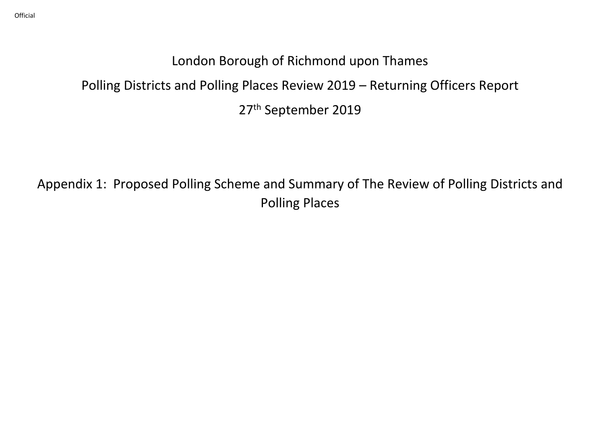# London Borough of Richmond upon Thames

# Polling Districts and Polling Places Review 2019 – Returning Officers Report

27th September 2019

Appendix 1: Proposed Polling Scheme and Summary of The Review of Polling Districts and Polling Places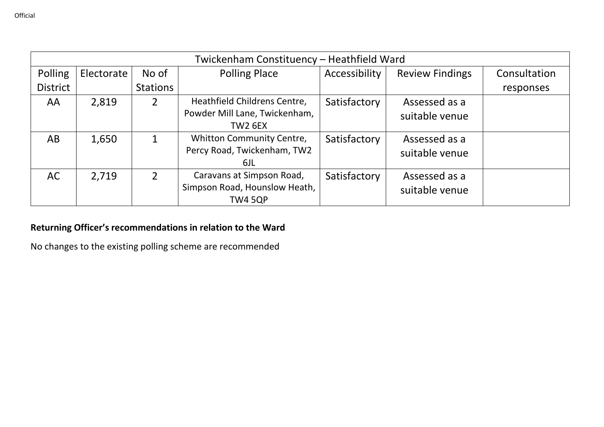|                 | Twickenham Constituency - Heathfield Ward |                |                                                                                 |               |                                 |              |  |  |  |  |
|-----------------|-------------------------------------------|----------------|---------------------------------------------------------------------------------|---------------|---------------------------------|--------------|--|--|--|--|
| Polling         | Electorate                                | No of          | <b>Polling Place</b>                                                            | Accessibility | <b>Review Findings</b>          | Consultation |  |  |  |  |
| <b>District</b> |                                           | Stations       |                                                                                 |               |                                 | responses    |  |  |  |  |
| AA              | 2,819                                     | $\overline{2}$ | Heathfield Childrens Centre,<br>Powder Mill Lane, Twickenham,<br><b>TW2 6EX</b> | Satisfactory  | Assessed as a<br>suitable venue |              |  |  |  |  |
| AB              | 1,650                                     |                | Whitton Community Centre,<br>Percy Road, Twickenham, TW2<br>6JL                 | Satisfactory  | Assessed as a<br>suitable venue |              |  |  |  |  |
| AC              | 2,719                                     | $\overline{2}$ | Caravans at Simpson Road,<br>Simpson Road, Hounslow Heath,<br><b>TW4 5QP</b>    | Satisfactory  | Assessed as a<br>suitable venue |              |  |  |  |  |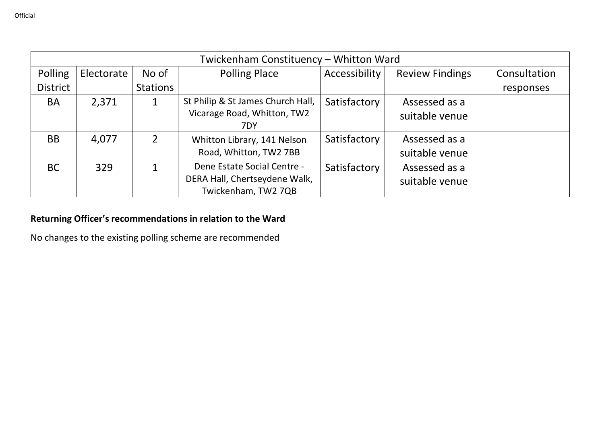|                 | Twickenham Constituency - Whitton Ward |                |                                    |               |                        |              |  |  |  |  |
|-----------------|----------------------------------------|----------------|------------------------------------|---------------|------------------------|--------------|--|--|--|--|
| Polling         | Electorate                             | No of          | <b>Polling Place</b>               | Accessibility | <b>Review Findings</b> | Consultation |  |  |  |  |
| <b>District</b> |                                        | Stations       |                                    |               |                        | responses    |  |  |  |  |
| <b>BA</b>       | 2,371                                  |                | St Philip & St James Church Hall,  | Satisfactory  | Assessed as a          |              |  |  |  |  |
|                 |                                        |                | Vicarage Road, Whitton, TW2<br>7DY |               | suitable venue         |              |  |  |  |  |
| <b>BB</b>       | 4,077                                  | $\overline{2}$ | Whitton Library, 141 Nelson        | Satisfactory  | Assessed as a          |              |  |  |  |  |
|                 |                                        |                | Road, Whitton, TW2 7BB             |               | suitable venue         |              |  |  |  |  |
| <b>BC</b>       | 329                                    | 1              | Dene Estate Social Centre -        | Satisfactory  | Assessed as a          |              |  |  |  |  |
|                 |                                        |                | DERA Hall, Chertseydene Walk,      |               | suitable venue         |              |  |  |  |  |
|                 |                                        |                | Twickenham, TW2 7QB                |               |                        |              |  |  |  |  |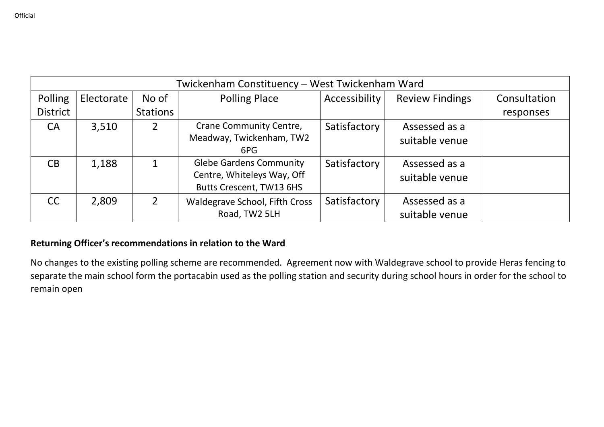|                 | Twickenham Constituency – West Twickenham Ward |                 |                                                                                          |               |                                 |              |  |  |  |  |
|-----------------|------------------------------------------------|-----------------|------------------------------------------------------------------------------------------|---------------|---------------------------------|--------------|--|--|--|--|
| Polling         | Electorate                                     | No of           | <b>Polling Place</b>                                                                     | Accessibility | <b>Review Findings</b>          | Consultation |  |  |  |  |
| <b>District</b> |                                                | <b>Stations</b> |                                                                                          |               |                                 | responses    |  |  |  |  |
| <b>CA</b>       | 3,510                                          | $\overline{2}$  | Crane Community Centre,<br>Meadway, Twickenham, TW2<br>6PG                               | Satisfactory  | Assessed as a<br>suitable venue |              |  |  |  |  |
| CB              | 1,188                                          | $\mathbf{1}$    | <b>Glebe Gardens Community</b><br>Centre, Whiteleys Way, Off<br>Butts Crescent, TW13 6HS | Satisfactory  | Assessed as a<br>suitable venue |              |  |  |  |  |
| <b>CC</b>       | 2,809                                          | $\overline{2}$  | Waldegrave School, Fifth Cross<br>Road, TW2 5LH                                          | Satisfactory  | Assessed as a<br>suitable venue |              |  |  |  |  |

No changes to the existing polling scheme are recommended. Agreement now with Waldegrave school to provide Heras fencing to separate the main school form the portacabin used as the polling station and security during school hours in order for the school to remain open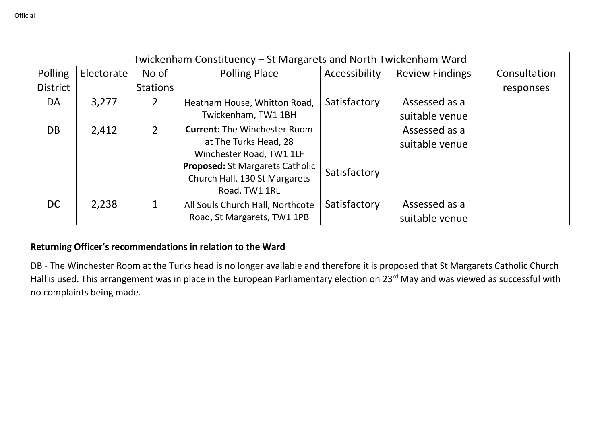|                 |            |                 | Twickenham Constituency – St Margarets and North Twickenham Ward |               |                        |              |
|-----------------|------------|-----------------|------------------------------------------------------------------|---------------|------------------------|--------------|
| Polling         | Electorate | No of           | <b>Polling Place</b>                                             | Accessibility | <b>Review Findings</b> | Consultation |
| <b>District</b> |            | <b>Stations</b> |                                                                  |               |                        | responses    |
| DA              | 3,277      | 2               | Heatham House, Whitton Road,                                     | Satisfactory  | Assessed as a          |              |
|                 |            |                 | Twickenham, TW1 1BH                                              |               | suitable venue         |              |
| <b>DB</b>       | 2,412      | $\overline{2}$  | <b>Current: The Winchester Room</b>                              |               | Assessed as a          |              |
|                 |            |                 | at The Turks Head, 28                                            |               | suitable venue         |              |
|                 |            |                 | Winchester Road, TW1 1LF                                         |               |                        |              |
|                 |            |                 | <b>Proposed: St Margarets Catholic</b>                           | Satisfactory  |                        |              |
|                 |            |                 | Church Hall, 130 St Margarets                                    |               |                        |              |
|                 |            |                 | Road, TW1 1RL                                                    |               |                        |              |
| <b>DC</b>       | 2,238      | 1               | All Souls Church Hall, Northcote                                 | Satisfactory  | Assessed as a          |              |
|                 |            |                 | Road, St Margarets, TW1 1PB                                      |               | suitable venue         |              |

DB - The Winchester Room at the Turks head is no longer available and therefore it is proposed that St Margarets Catholic Church Hall is used. This arrangement was in place in the European Parliamentary election on 23<sup>rd</sup> May and was viewed as successful with no complaints being made.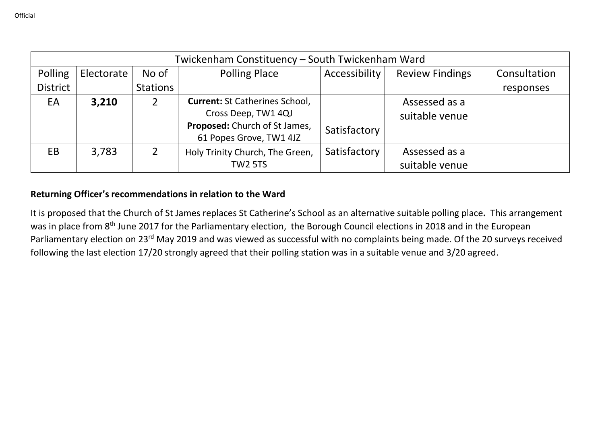|                 | Twickenham Constituency - South Twickenham Ward |                |                                       |               |                        |              |  |  |  |  |
|-----------------|-------------------------------------------------|----------------|---------------------------------------|---------------|------------------------|--------------|--|--|--|--|
| Polling         | Electorate                                      | No of          | <b>Polling Place</b>                  | Accessibility | <b>Review Findings</b> | Consultation |  |  |  |  |
| <b>District</b> |                                                 | Stations       |                                       |               |                        | responses    |  |  |  |  |
| EA              | 3,210                                           | 2              | <b>Current: St Catherines School,</b> |               | Assessed as a          |              |  |  |  |  |
|                 |                                                 |                | Cross Deep, TW1 4QJ                   |               | suitable venue         |              |  |  |  |  |
|                 |                                                 |                | Proposed: Church of St James,         | Satisfactory  |                        |              |  |  |  |  |
|                 |                                                 |                | 61 Popes Grove, TW1 4JZ               |               |                        |              |  |  |  |  |
| EB.             | 3,783                                           | $\overline{2}$ | Holy Trinity Church, The Green,       | Satisfactory  | Assessed as a          |              |  |  |  |  |
|                 |                                                 |                | <b>TW2 5TS</b>                        |               | suitable venue         |              |  |  |  |  |

It is proposed that the Church of St James replaces St Catherine's School as an alternative suitable polling place**.** This arrangement was in place from 8<sup>th</sup> June 2017 for the Parliamentary election, the Borough Council elections in 2018 and in the European Parliamentary election on 23<sup>rd</sup> May 2019 and was viewed as successful with no complaints being made. Of the 20 surveys received following the last election 17/20 strongly agreed that their polling station was in a suitable venue and 3/20 agreed.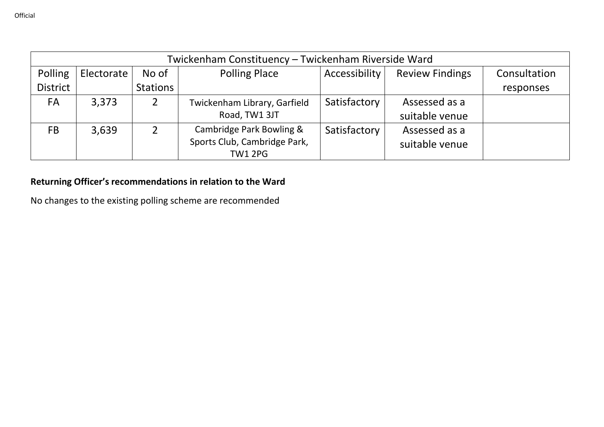|                 | Twickenham Constituency - Twickenham Riverside Ward |          |                              |               |                        |              |  |  |  |
|-----------------|-----------------------------------------------------|----------|------------------------------|---------------|------------------------|--------------|--|--|--|
| Polling         | Electorate                                          | No of    | <b>Polling Place</b>         | Accessibility | <b>Review Findings</b> | Consultation |  |  |  |
| <b>District</b> |                                                     | Stations |                              |               |                        | responses    |  |  |  |
| <b>FA</b>       | 3,373                                               |          | Twickenham Library, Garfield | Satisfactory  | Assessed as a          |              |  |  |  |
|                 |                                                     |          | Road, TW1 3JT                |               | suitable venue         |              |  |  |  |
| FB              | 3,639                                               |          | Cambridge Park Bowling &     | Satisfactory  | Assessed as a          |              |  |  |  |
|                 |                                                     |          | Sports Club, Cambridge Park, |               | suitable venue         |              |  |  |  |
|                 |                                                     |          | <b>TW1 2PG</b>               |               |                        |              |  |  |  |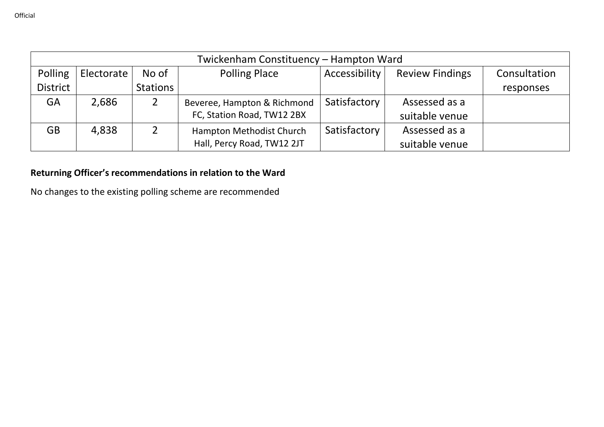|                 | Twickenham Constituency - Hampton Ward                                                 |          |                             |              |                |           |  |  |  |
|-----------------|----------------------------------------------------------------------------------------|----------|-----------------------------|--------------|----------------|-----------|--|--|--|
| Polling         | <b>Polling Place</b><br>Accessibility<br>No of<br><b>Review Findings</b><br>Electorate |          |                             |              |                |           |  |  |  |
| <b>District</b> |                                                                                        | Stations |                             |              |                | responses |  |  |  |
| <b>GA</b>       | 2,686                                                                                  |          | Beveree, Hampton & Richmond | Satisfactory | Assessed as a  |           |  |  |  |
|                 |                                                                                        |          | FC, Station Road, TW12 2BX  |              | suitable venue |           |  |  |  |
| <b>GB</b>       | 4,838                                                                                  |          | Hampton Methodist Church    | Satisfactory | Assessed as a  |           |  |  |  |
|                 |                                                                                        |          | Hall, Percy Road, TW12 2JT  |              | suitable venue |           |  |  |  |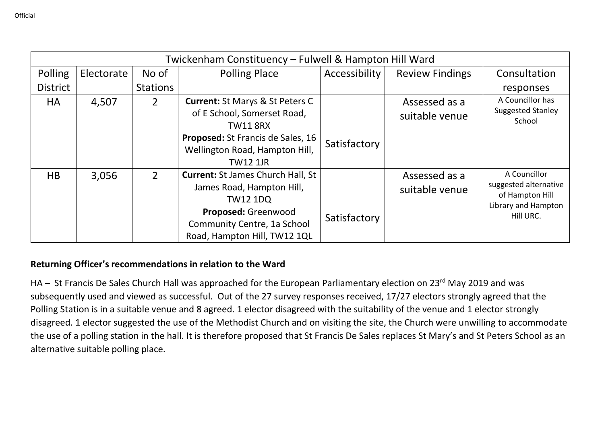|                 | Twickenham Constituency - Fulwell & Hampton Hill Ward |                 |                                                                                                                 |               |                                 |                                                                                 |  |  |  |
|-----------------|-------------------------------------------------------|-----------------|-----------------------------------------------------------------------------------------------------------------|---------------|---------------------------------|---------------------------------------------------------------------------------|--|--|--|
| Polling         | Electorate                                            | No of           | <b>Polling Place</b>                                                                                            | Accessibility | <b>Review Findings</b>          | Consultation                                                                    |  |  |  |
| <b>District</b> |                                                       | <b>Stations</b> |                                                                                                                 |               |                                 | responses                                                                       |  |  |  |
| <b>HA</b>       | 4,507                                                 | $\overline{2}$  | <b>Current: St Marys &amp; St Peters C</b><br>of E School, Somerset Road,<br><b>TW11 8RX</b>                    |               | Assessed as a<br>suitable venue | A Councillor has<br><b>Suggested Stanley</b><br>School                          |  |  |  |
|                 |                                                       |                 | <b>Proposed:</b> St Francis de Sales, 16<br>Wellington Road, Hampton Hill,<br><b>TW12 1JR</b>                   | Satisfactory  |                                 |                                                                                 |  |  |  |
| HB              | 3,056                                                 | $\overline{2}$  | <b>Current: St James Church Hall, St</b><br>James Road, Hampton Hill,<br><b>TW12 1DQ</b><br>Proposed: Greenwood |               | Assessed as a<br>suitable venue | A Councillor<br>suggested alternative<br>of Hampton Hill<br>Library and Hampton |  |  |  |
|                 |                                                       |                 | Community Centre, 1a School<br>Road, Hampton Hill, TW12 1QL                                                     | Satisfactory  |                                 | Hill URC.                                                                       |  |  |  |

HA – St Francis De Sales Church Hall was approached for the European Parliamentary election on 23<sup>rd</sup> May 2019 and was subsequently used and viewed as successful. Out of the 27 survey responses received, 17/27 electors strongly agreed that the Polling Station is in a suitable venue and 8 agreed. 1 elector disagreed with the suitability of the venue and 1 elector strongly disagreed. 1 elector suggested the use of the Methodist Church and on visiting the site, the Church were unwilling to accommodate the use of a polling station in the hall. It is therefore proposed that St Francis De Sales replaces St Mary's and St Peters School as an alternative suitable polling place.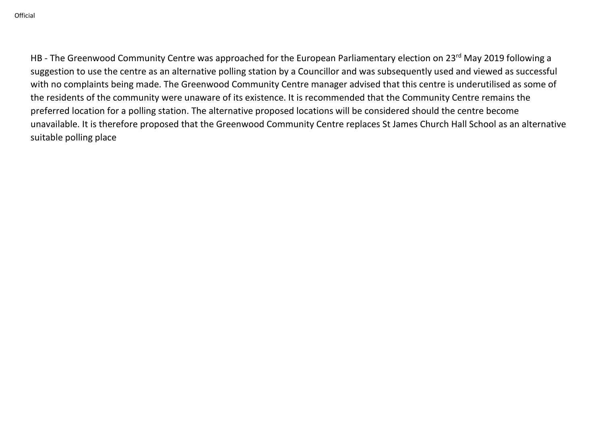HB - The Greenwood Community Centre was approached for the European Parliamentary election on 23<sup>rd</sup> May 2019 following a suggestion to use the centre as an alternative polling station by a Councillor and was subsequently used and viewed as successful with no complaints being made. The Greenwood Community Centre manager advised that this centre is underutilised as some of the residents of the community were unaware of its existence. It is recommended that the Community Centre remains the preferred location for a polling station. The alternative proposed locations will be considered should the centre become unavailable. It is therefore proposed that the Greenwood Community Centre replaces St James Church Hall School as an alternative suitable polling place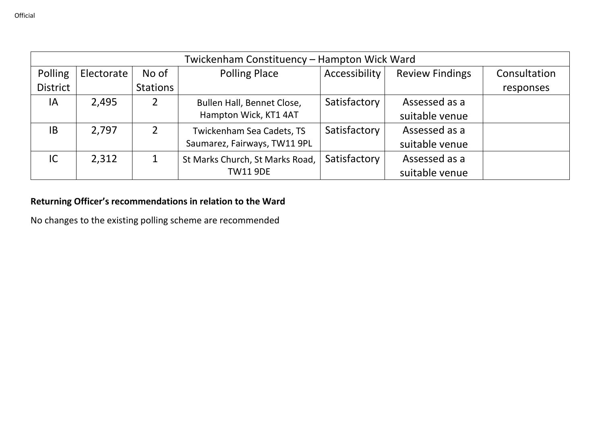|                 | Twickenham Constituency - Hampton Wick Ward |                |                                 |               |                        |              |  |  |  |  |
|-----------------|---------------------------------------------|----------------|---------------------------------|---------------|------------------------|--------------|--|--|--|--|
| Polling         | Electorate                                  | No of          | <b>Polling Place</b>            | Accessibility | <b>Review Findings</b> | Consultation |  |  |  |  |
| <b>District</b> |                                             | Stations       |                                 |               |                        | responses    |  |  |  |  |
| IA              | 2,495                                       |                | Bullen Hall, Bennet Close,      | Satisfactory  | Assessed as a          |              |  |  |  |  |
|                 |                                             |                | Hampton Wick, KT1 4AT           |               | suitable venue         |              |  |  |  |  |
| IB              | 2,797                                       | $\overline{2}$ | Twickenham Sea Cadets, TS       | Satisfactory  | Assessed as a          |              |  |  |  |  |
|                 |                                             |                | Saumarez, Fairways, TW11 9PL    |               | suitable venue         |              |  |  |  |  |
| IC              | 2,312                                       |                | St Marks Church, St Marks Road, | Satisfactory  | Assessed as a          |              |  |  |  |  |
|                 |                                             |                | <b>TW11 9DE</b>                 |               | suitable venue         |              |  |  |  |  |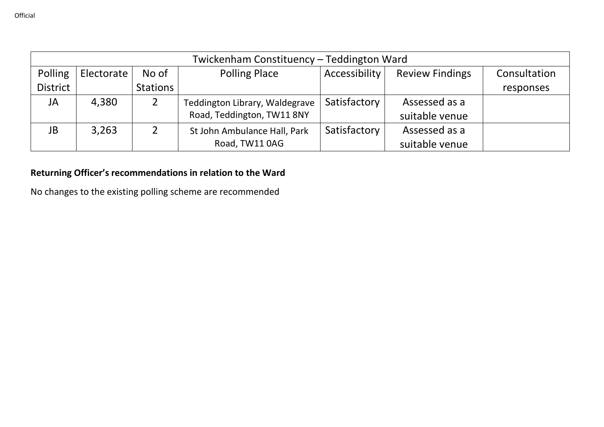| Twickenham Constituency - Teddington Ward |            |          |                                |                      |                        |              |  |  |
|-------------------------------------------|------------|----------|--------------------------------|----------------------|------------------------|--------------|--|--|
| Polling                                   | Electorate | No of    | <b>Polling Place</b>           | <b>Accessibility</b> | <b>Review Findings</b> | Consultation |  |  |
| <b>District</b>                           |            | Stations |                                |                      |                        | responses    |  |  |
| JA                                        | 4,380      |          | Teddington Library, Waldegrave | Satisfactory         | Assessed as a          |              |  |  |
|                                           |            |          | Road, Teddington, TW11 8NY     |                      | suitable venue         |              |  |  |
| JB                                        | 3,263      |          | St John Ambulance Hall, Park   | Satisfactory         | Assessed as a          |              |  |  |
|                                           |            |          | Road, TW11 0AG                 |                      | suitable venue         |              |  |  |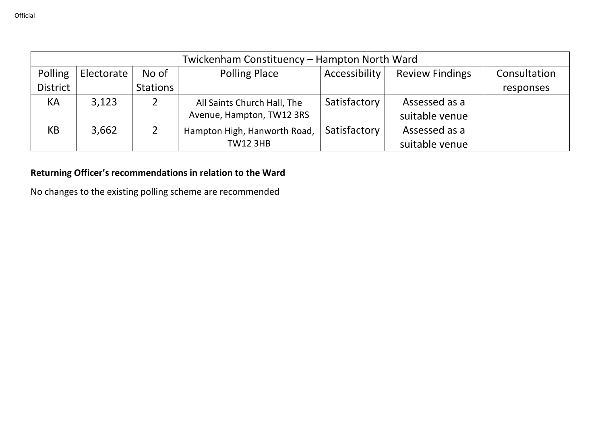|                                                                                                                   | Twickenham Constituency - Hampton North Ward |          |                              |              |                |           |  |  |  |
|-------------------------------------------------------------------------------------------------------------------|----------------------------------------------|----------|------------------------------|--------------|----------------|-----------|--|--|--|
| Polling<br><b>Polling Place</b><br>Accessibility<br><b>Review Findings</b><br>Consultation<br>No of<br>Electorate |                                              |          |                              |              |                |           |  |  |  |
| <b>District</b>                                                                                                   |                                              | Stations |                              |              |                | responses |  |  |  |
| KA                                                                                                                | 3,123                                        |          | All Saints Church Hall, The  | Satisfactory | Assessed as a  |           |  |  |  |
|                                                                                                                   |                                              |          | Avenue, Hampton, TW12 3RS    |              | suitable venue |           |  |  |  |
| KB                                                                                                                | 3,662                                        |          | Hampton High, Hanworth Road, | Satisfactory | Assessed as a  |           |  |  |  |
|                                                                                                                   |                                              |          | <b>TW12 3HB</b>              |              | suitable venue |           |  |  |  |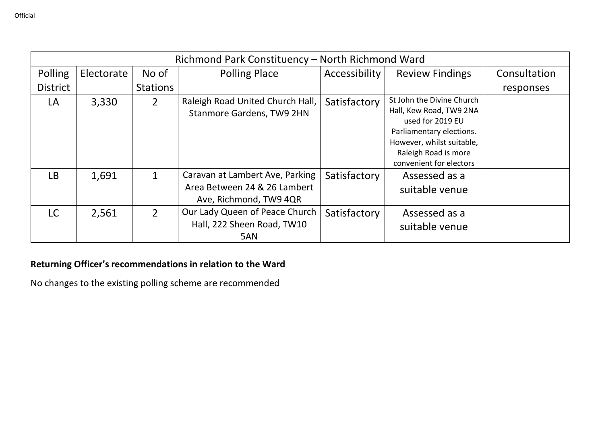| Richmond Park Constituency - North Richmond Ward |            |                 |                                                                                           |               |                                                                                                                                                                                      |              |  |  |
|--------------------------------------------------|------------|-----------------|-------------------------------------------------------------------------------------------|---------------|--------------------------------------------------------------------------------------------------------------------------------------------------------------------------------------|--------------|--|--|
| Polling                                          | Electorate | No of           | <b>Polling Place</b>                                                                      | Accessibility | <b>Review Findings</b>                                                                                                                                                               | Consultation |  |  |
| <b>District</b>                                  |            | <b>Stations</b> |                                                                                           |               |                                                                                                                                                                                      | responses    |  |  |
| LA                                               | 3,330      | $\overline{2}$  | Raleigh Road United Church Hall,<br>Stanmore Gardens, TW9 2HN                             | Satisfactory  | St John the Divine Church<br>Hall, Kew Road, TW9 2NA<br>used for 2019 EU<br>Parliamentary elections.<br>However, whilst suitable,<br>Raleigh Road is more<br>convenient for electors |              |  |  |
| <b>LB</b>                                        | 1,691      | 1               | Caravan at Lambert Ave, Parking<br>Area Between 24 & 26 Lambert<br>Ave, Richmond, TW9 4QR | Satisfactory  | Assessed as a<br>suitable venue                                                                                                                                                      |              |  |  |
| LC.                                              | 2,561      | $\overline{2}$  | Our Lady Queen of Peace Church<br>Hall, 222 Sheen Road, TW10<br>5AN                       | Satisfactory  | Assessed as a<br>suitable venue                                                                                                                                                      |              |  |  |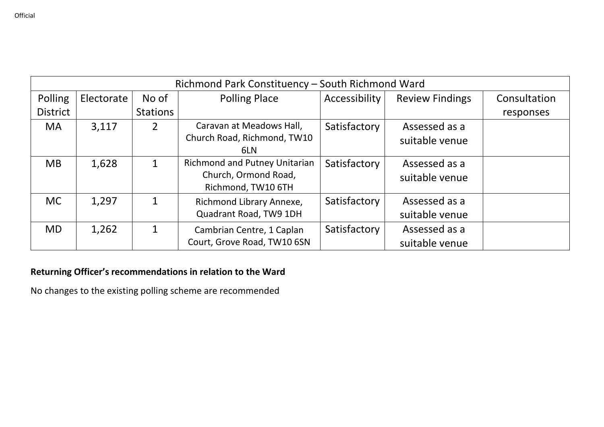| Richmond Park Constituency - South Richmond Ward |            |                       |                                                                                    |               |                                 |              |  |
|--------------------------------------------------|------------|-----------------------|------------------------------------------------------------------------------------|---------------|---------------------------------|--------------|--|
| Polling                                          | Electorate | No of                 | <b>Polling Place</b>                                                               | Accessibility | <b>Review Findings</b>          | Consultation |  |
| <b>District</b>                                  |            | Stations <sup>1</sup> |                                                                                    |               |                                 | responses    |  |
| <b>MA</b>                                        | 3,117      | $\overline{2}$        | Caravan at Meadows Hall,<br>Church Road, Richmond, TW10<br>6LN                     | Satisfactory  | Assessed as a<br>suitable venue |              |  |
| <b>MB</b>                                        | 1,628      | 1                     | <b>Richmond and Putney Unitarian</b><br>Church, Ormond Road,<br>Richmond, TW10 6TH | Satisfactory  | Assessed as a<br>suitable venue |              |  |
| <b>MC</b>                                        | 1,297      | 1                     | Richmond Library Annexe,<br>Quadrant Road, TW9 1DH                                 | Satisfactory  | Assessed as a<br>suitable venue |              |  |
| <b>MD</b>                                        | 1,262      | $\mathbf 1$           | Cambrian Centre, 1 Caplan<br>Court, Grove Road, TW10 6SN                           | Satisfactory  | Assessed as a<br>suitable venue |              |  |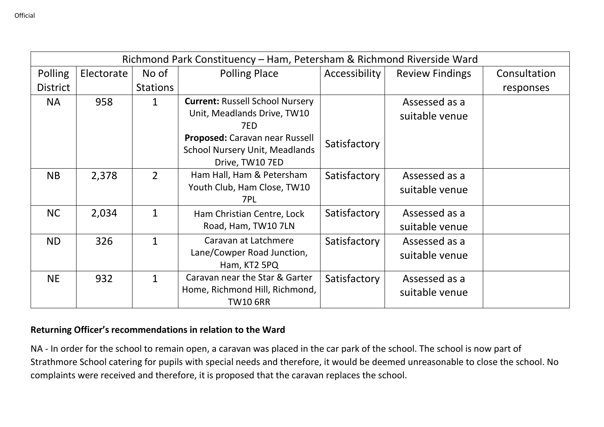| Richmond Park Constituency - Ham, Petersham & Richmond Riverside Ward |            |                 |                                                                                            |               |                                 |              |  |
|-----------------------------------------------------------------------|------------|-----------------|--------------------------------------------------------------------------------------------|---------------|---------------------------------|--------------|--|
| Polling                                                               | Electorate | No of           | <b>Polling Place</b>                                                                       | Accessibility | <b>Review Findings</b>          | Consultation |  |
| <b>District</b>                                                       |            | <b>Stations</b> |                                                                                            |               |                                 | responses    |  |
| <b>NA</b>                                                             | 958        | 1               | <b>Current: Russell School Nursery</b><br>Unit, Meadlands Drive, TW10<br>7ED               |               | Assessed as a<br>suitable venue |              |  |
|                                                                       |            |                 | Proposed: Caravan near Russell<br><b>School Nursery Unit, Meadlands</b><br>Drive, TW10 7ED | Satisfactory  |                                 |              |  |
| <b>NB</b>                                                             | 2,378      | $\overline{2}$  | Ham Hall, Ham & Petersham<br>Youth Club, Ham Close, TW10<br>7PL                            | Satisfactory  | Assessed as a<br>suitable venue |              |  |
| <b>NC</b>                                                             | 2,034      | $\mathbf 1$     | Ham Christian Centre, Lock<br>Road, Ham, TW10 7LN                                          | Satisfactory  | Assessed as a<br>suitable venue |              |  |
| ND.                                                                   | 326        | 1               | Caravan at Latchmere<br>Lane/Cowper Road Junction,<br>Ham, KT2 5PQ                         | Satisfactory  | Assessed as a<br>suitable venue |              |  |
| <b>NE</b>                                                             | 932        | 1               | Caravan near the Star & Garter<br>Home, Richmond Hill, Richmond,<br><b>TW10 6RR</b>        | Satisfactory  | Assessed as a<br>suitable venue |              |  |

NA - In order for the school to remain open, a caravan was placed in the car park of the school. The school is now part of Strathmore School catering for pupils with special needs and therefore, it would be deemed unreasonable to close the school. No complaints were received and therefore, it is proposed that the caravan replaces the school.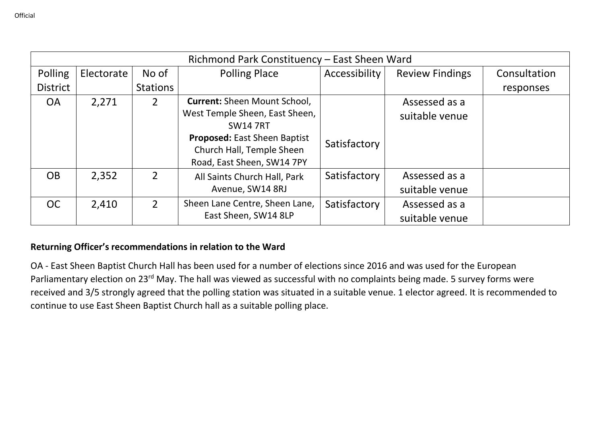| Richmond Park Constituency - East Sheen Ward |            |                 |                                                                                                |               |                                 |              |  |
|----------------------------------------------|------------|-----------------|------------------------------------------------------------------------------------------------|---------------|---------------------------------|--------------|--|
| Polling                                      | Electorate | No of           | <b>Polling Place</b>                                                                           | Accessibility | <b>Review Findings</b>          | Consultation |  |
| <b>District</b>                              |            | <b>Stations</b> |                                                                                                |               |                                 | responses    |  |
| <b>OA</b>                                    | 2,271      | $\overline{2}$  | <b>Current: Sheen Mount School,</b><br>West Temple Sheen, East Sheen,<br><b>SW14 7RT</b>       |               | Assessed as a<br>suitable venue |              |  |
|                                              |            |                 | <b>Proposed:</b> East Sheen Baptist<br>Church Hall, Temple Sheen<br>Road, East Sheen, SW14 7PY | Satisfactory  |                                 |              |  |
| <b>OB</b>                                    | 2,352      | $\overline{2}$  | All Saints Church Hall, Park<br>Avenue, SW14 8RJ                                               | Satisfactory  | Assessed as a<br>suitable venue |              |  |
| <b>OC</b>                                    | 2,410      | $\mathfrak{D}$  | Sheen Lane Centre, Sheen Lane,<br>East Sheen, SW14 8LP                                         | Satisfactory  | Assessed as a<br>suitable venue |              |  |

OA - East Sheen Baptist Church Hall has been used for a number of elections since 2016 and was used for the European Parliamentary election on 23<sup>rd</sup> May. The hall was viewed as successful with no complaints being made. 5 survey forms were received and 3/5 strongly agreed that the polling station was situated in a suitable venue. 1 elector agreed. It is recommended to continue to use East Sheen Baptist Church hall as a suitable polling place.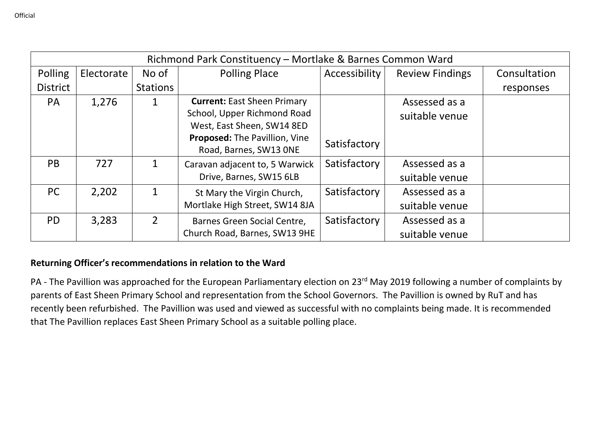| Richmond Park Constituency - Mortlake & Barnes Common Ward |            |                 |                                    |               |                        |              |  |
|------------------------------------------------------------|------------|-----------------|------------------------------------|---------------|------------------------|--------------|--|
| Polling                                                    | Electorate | No of           | <b>Polling Place</b>               | Accessibility | <b>Review Findings</b> | Consultation |  |
| <b>District</b>                                            |            | <b>Stations</b> |                                    |               |                        | responses    |  |
| <b>PA</b>                                                  | 1,276      | 1               | <b>Current: East Sheen Primary</b> |               | Assessed as a          |              |  |
|                                                            |            |                 | School, Upper Richmond Road        |               | suitable venue         |              |  |
|                                                            |            |                 | West, East Sheen, SW14 8ED         |               |                        |              |  |
|                                                            |            |                 | Proposed: The Pavillion, Vine      | Satisfactory  |                        |              |  |
|                                                            |            |                 | Road, Barnes, SW13 ONE             |               |                        |              |  |
| <b>PB</b>                                                  | 727        | $\mathbf 1$     | Caravan adjacent to, 5 Warwick     | Satisfactory  | Assessed as a          |              |  |
|                                                            |            |                 | Drive, Barnes, SW15 6LB            |               | suitable venue         |              |  |
| <b>PC</b>                                                  | 2,202      | 1               | St Mary the Virgin Church,         | Satisfactory  | Assessed as a          |              |  |
|                                                            |            |                 | Mortlake High Street, SW14 8JA     |               | suitable venue         |              |  |
| <b>PD</b>                                                  | 3,283      | $\overline{2}$  | Barnes Green Social Centre,        | Satisfactory  | Assessed as a          |              |  |
|                                                            |            |                 | Church Road, Barnes, SW13 9HE      |               | suitable venue         |              |  |

PA - The Pavillion was approached for the European Parliamentary election on 23rd May 2019 following a number of complaints by parents of East Sheen Primary School and representation from the School Governors. The Pavillion is owned by RuT and has recently been refurbished. The Pavillion was used and viewed as successful with no complaints being made. It is recommended that The Pavillion replaces East Sheen Primary School as a suitable polling place.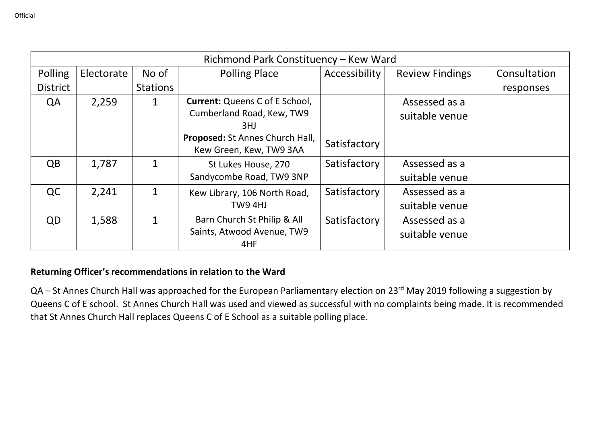| Richmond Park Constituency - Kew Ward |            |                 |                                                                                                              |               |                                 |              |  |
|---------------------------------------|------------|-----------------|--------------------------------------------------------------------------------------------------------------|---------------|---------------------------------|--------------|--|
| Polling                               | Electorate | No of           | <b>Polling Place</b>                                                                                         | Accessibility | <b>Review Findings</b>          | Consultation |  |
| <b>District</b>                       |            | <b>Stations</b> |                                                                                                              |               |                                 | responses    |  |
| QA                                    | 2,259      | 1               | <b>Current:</b> Queens C of E School,<br>Cumberland Road, Kew, TW9<br>3HJ<br>Proposed: St Annes Church Hall, |               | Assessed as a<br>suitable venue |              |  |
|                                       |            |                 | Kew Green, Kew, TW9 3AA                                                                                      | Satisfactory  |                                 |              |  |
| $\overline{OB}$                       | 1,787      | 1               | St Lukes House, 270<br>Sandycombe Road, TW9 3NP                                                              | Satisfactory  | Assessed as a<br>suitable venue |              |  |
| QC                                    | 2,241      | $\mathbf{1}$    | Kew Library, 106 North Road,<br>TW9 4HJ                                                                      | Satisfactory  | Assessed as a<br>suitable venue |              |  |
| QD                                    | 1,588      | 1               | Barn Church St Philip & All<br>Saints, Atwood Avenue, TW9<br>4HF                                             | Satisfactory  | Assessed as a<br>suitable venue |              |  |

QA – St Annes Church Hall was approached for the European Parliamentary election on 23<sup>rd</sup> May 2019 following a suggestion by Queens C of E school. St Annes Church Hall was used and viewed as successful with no complaints being made. It is recommended that St Annes Church Hall replaces Queens C of E School as a suitable polling place.